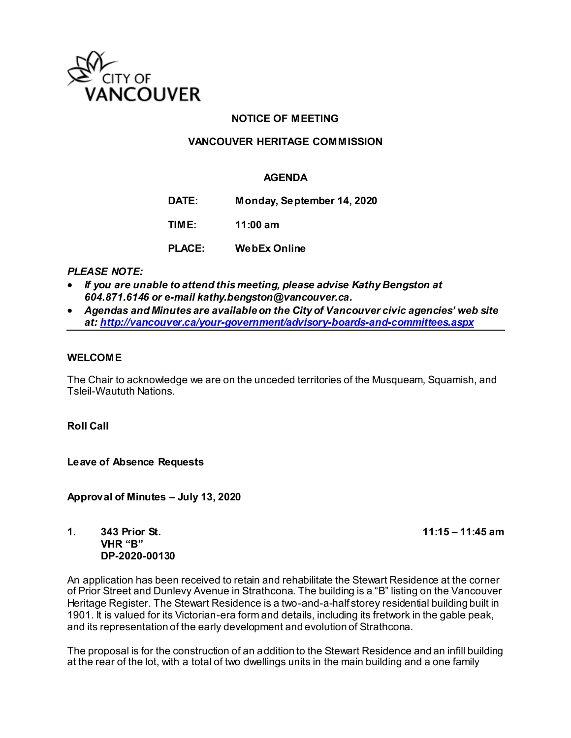

## **NOTICE OF MEETING**

## **VANCOUVER HERITAGE COMMISSION**

## **AGENDA**

**DATE: Monday, September 14, 2020**

**TIME: 11:00 am**

**PLACE: WebEx Online**

## *PLEASE NOTE:*

- *If you are unable to attend this meeting, please advise Kathy Bengston at 604.871.6146 or e-mail kathy.bengston@vancouver.ca.*
- *Agendas and Minutes are available on the City of Vancouver civic agencies' web site at[: http://vancouver.ca/your-government/advisory-boards-and-committees.aspx](http://vancouver.ca/your-government/advisory-boards-and-committees.aspx)*

#### **WELCOME**

The Chair to acknowledge we are on the unceded territories of the Musqueam, Squamish, and Tsleil-Waututh Nations.

**Roll Call** 

Leave of Absence Requests

**Approval of Minutes – July 13, 2020**

**1. 343 Prior St. 11:15 – 11:45 am VHR "B" DP-2020-00130** 

An application has been received to retain and rehabilitate the Stewart Residence at the corner of Prior Street and Dunlevy Avenue in Strathcona. The building is a "B" listing on the Vancouver Heritage Register. The Stewart Residence is a two-and-a-half storey residential building built in 1901. It is valued for its Victorian-era form and details, including its fretwork in the gable peak, and its representation of the early development and evolution of Strathcona.

The proposal is for the construction of an addition to the Stewart Residence and an infill building at the rear of the lot, with a total of two dwellings units in the main building and a one family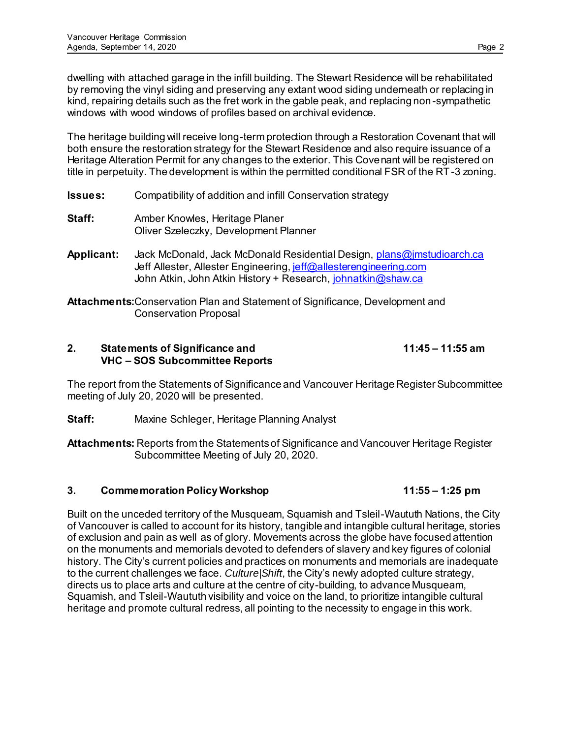dwelling with attached garage in the infill building. The Stewart Residence will be rehabilitated by removing the vinyl siding and preserving any extant wood siding underneath or replacing in kind, repairing details such as the fret work in the gable peak, and replacing non-sympathetic windows with wood windows of profiles based on archival evidence.

The heritage building will receive long-term protection through a Restoration Covenant that will both ensure the restoration strategy for the Stewart Residence and also require issuance of a Heritage Alteration Permit for any changes to the exterior. This Covenant will be registered on title in perpetuity. The development is within the permitted conditional FSR of the RT -3 zoning.

- **Issues:** Compatibility of addition and infill Conservation strategy
- **Staff:** Amber Knowles, Heritage Planer Oliver Szeleczky, Development Planner
- **Applicant:** Jack McDonald, Jack McDonald Residential Design[, plans@jmstudioarch.ca](file:///C:/Users/cgzj/AppData/Local/Microsoft/Windows/INetCache/Content.Outlook/6A247IL0/plans@jmstudioarch.ca) Jeff Allester, Allester Engineering[, jeff@allesterengineering.com](file:///C:/Users/cgzj/AppData/Local/Microsoft/Windows/INetCache/Content.Outlook/6A247IL0/jeff@allesterengineering.com) John Atkin, John Atkin History + Research[, johnatkin@shaw.ca](file:///C:/Users/cgzj/AppData/Local/Microsoft/Windows/INetCache/Content.Outlook/6A247IL0/johnatkin@shaw.ca)

**Attachments:**Conservation Plan and Statement of Significance, Development and Conservation Proposal

## **2. Statements of Significance and 11:45 – 11:55 am VHC – SOS Subcommittee Reports**

The report from the Statements of Significance and Vancouver Heritage Register Subcommittee meeting of July 20, 2020 will be presented.

**Staff:** Maxine Schleger, Heritage Planning Analyst

**Attachments:** Reports from the Statements of Significance and Vancouver Heritage Register Subcommittee Meeting of July 20, 2020.

# **3. Commemoration Policy Workshop 11:55 – 1:25 pm**

Built on the unceded territory of the Musqueam, Squamish and Tsleil-Waututh Nations, the City of Vancouver is called to account for its history, tangible and intangible cultural heritage, stories of exclusion and pain as well as of glory. Movements across the globe have focused attention on the monuments and memorials devoted to defenders of slavery and key figures of colonial history. The City's current policies and practices on monuments and memorials are inadequate to the current challenges we face. *Culture*|*Shift*, the City's newly adopted culture strategy, directs us to place arts and culture at the centre of city-building, to advance Musqueam, Squamish, and Tsleil-Waututh visibility and voice on the land, to prioritize intangible cultural heritage and promote cultural redress, all pointing to the necessity to engage in this work.